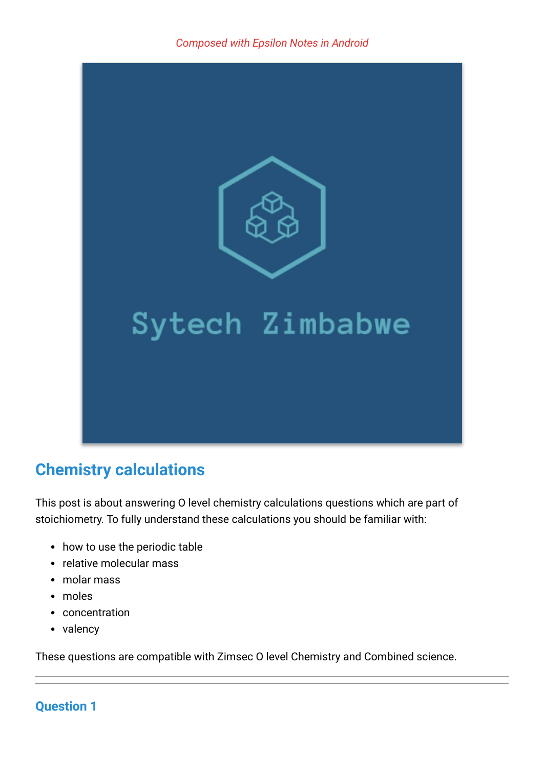

# **Chemistry calculations**

This post is about answering O level chemistry calculations questions which are part of stoichiometry. To fully understand these calculations you should be familiar with:

- how to use the periodic table
- relative molecular mass
- molar mass
- moles
- concentration
- valency

These questions are compatible with Zimsec O level Chemistry and Combined science.

# **Question 1**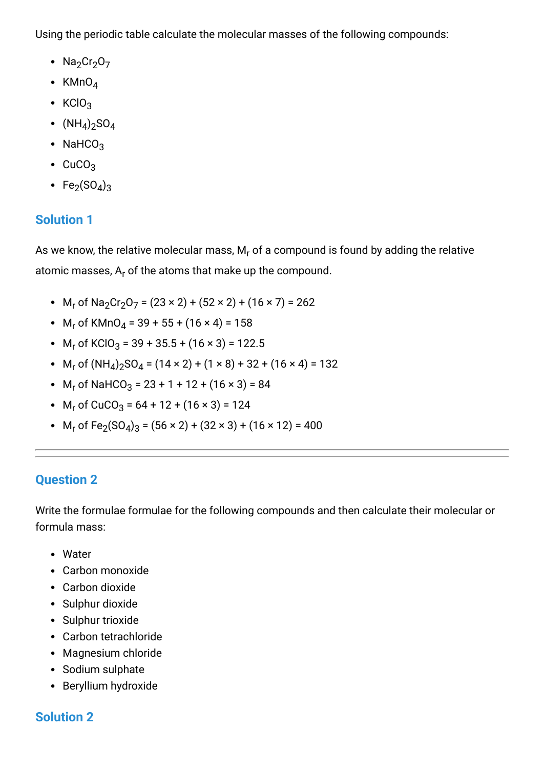Using the periodic table calculate the molecular masses of the following compounds:

- Na<sub>2</sub>Cr<sub>2</sub>O<sub>7</sub>
- KMn $O_4$
- $KClO<sub>3</sub>$
- $(NH_4)_2$ SO $_4$
- NaHCO<sub>3</sub>
- $\cdot$  CuCO<sub>3</sub>
- $\mathsf{Fe}_2(\mathsf{SO}_4)_3$

### **Solution 1**

As we know, the relative molecular mass,  $\mathsf{M}_{\mathsf{r}}$  of a compound is found by adding the relative atomic masses, A<sub>r</sub> of the atoms that make up the compound.

- M<sub>r</sub> of Na<sub>2</sub>Cr<sub>2</sub>O<sub>7</sub> = (23 × 2) + (52 × 2) + (16 × 7) = 262
- $M_r$  of KMnO<sub>4</sub> = 39 + 55 + (16 × 4) = 158
- $M_r$  of KClO<sub>3</sub> = 39 + 35.5 + (16 × 3) = 122.5
- $M_r$  of  $(NH_4)_2$ SO<sub>4</sub> = (14 × 2) + (1 × 8) + 32 + (16 × 4) = 132
- $M_r$  of NaHCO<sub>3</sub> = 23 + 1 + 12 + (16 × 3) = 84
- $M_r$  of CuCO<sub>3</sub> = 64 + 12 + (16 × 3) = 124
- $M_r$  of Fe<sub>2</sub>(SO<sub>4</sub>)<sub>3</sub> = (56 × 2) + (32 × 3) + (16 × 12) = 400

### **Question 2**

Write the formulae formulae for the following compounds and then calculate their molecular or formula mass:

- Water
- Carbon monoxide
- Carbon dioxide
- Sulphur dioxide
- Sulphur trioxide
- Carbon tetrachloride
- Magnesium chloride
- Sodium sulphate
- Beryllium hydroxide

### **Solution 2**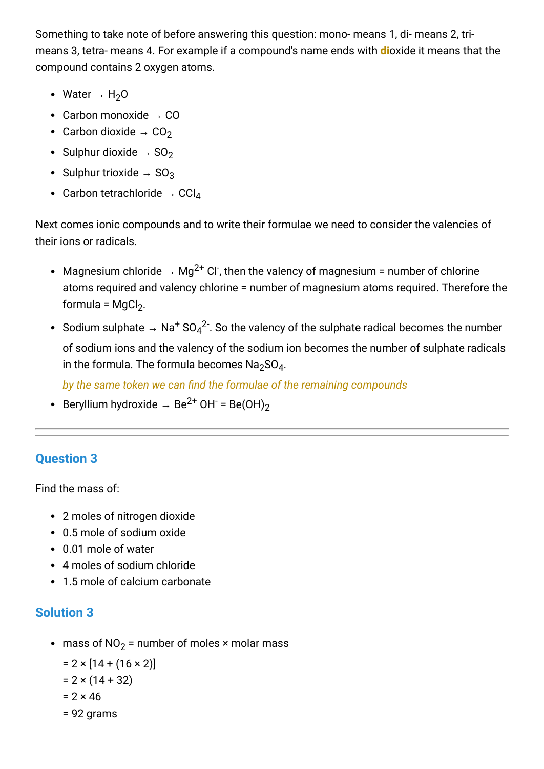Something to take note of before answering this question: mono- means 1, di- means 2, trimeans 3, tetra- means 4. For example if a compound's name ends with **di**oxide it means that the compound contains 2 oxygen atoms.

- Water  $\rightarrow H_2O$
- Carbon monoxide  $\rightarrow$  CO
- Carbon dioxide  $\rightarrow$  CO<sub>2</sub>
- Sulphur dioxide  $\rightarrow$  SO<sub>2</sub>
- Sulphur trioxide  $\rightarrow$  SO<sub>3</sub>
- Carbon tetrachloride  $\rightarrow$  CCl<sub>4</sub>

Next comes ionic compounds and to write their formulae we need to consider the valencies of their ions or radicals.

- Magnesium chloride  $\rightarrow$  Mg<sup>2+</sup> Cl<sup>-</sup>, then the valency of magnesium = number of chlorine atoms required and valency chlorine = number of magnesium atoms required. Therefore the formula = MgCl<sub>2</sub>.
- Sodium sulphate  $\,\to\,$  Na $^+$  SO $_4{}^{2^-}$ . So the valency of the sulphate radical becomes the number of sodium ions and the valency of the sodium ion becomes the number of sulphate radicals in the formula. The formula becomes  $\textsf{Na}_2\textsf{SO}_4$ .

*by the same token we can find the formulae of the remaining compounds*

Beryllium hydroxide  $\rightarrow$  Be<sup>2+</sup> OH<sup>-</sup> = Be(OH)<sub>2</sub>

# **Question 3**

Find the mass of:

- 2 moles of nitrogen dioxide
- 0.5 mole of sodium oxide
- 0.01 mole of water
- 4 moles of sodium chloride
- 1.5 mole of calcium carbonate

# **Solution 3**

mass of NO $_2$  = number of moles × molar mass

```
= 2 \times [14 + (16 \times 2)]= 2 \times (14 + 32)
```
- $= 2 \times 46$
- = 92 grams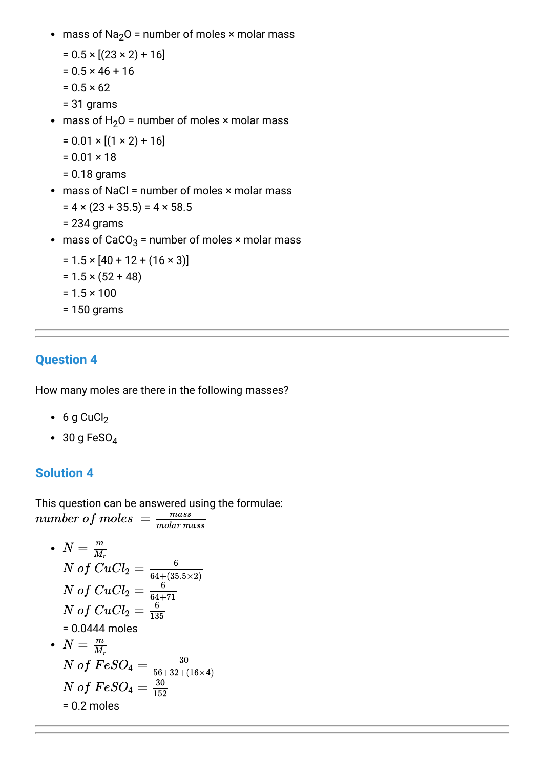- mass of Na<sub>2</sub>O = number of moles  $\times$  molar mass
	- $= 0.5 \times [(23 \times 2) + 16]$
	- $= 0.5 \times 46 + 16$
	- $= 0.5 \times 62$
	- = 31 grams
- mass of  $H_2O$  = number of moles  $\times$  molar mass
	- $= 0.01 \times [(1 \times 2) + 16]$
	- $= 0.01 \times 18$
	- = 0.18 grams
- $\bullet$  mass of NaCl = number of moles  $\times$  molar mass
	- $= 4 \times (23 + 35.5) = 4 \times 58.5$
	- = 234 grams
- mass of CaCO $_3$  = number of moles × molar mass
	- $= 1.5 \times [40 + 12 + (16 \times 3)]$
	- $= 1.5 \times (52 + 48)$
	- $= 1.5 \times 100$
	- = 150 grams

#### **Question 4**

How many moles are there in the following masses?

- $\bullet$  6 g CuCl<sub>2</sub>
- $\cdot$  30 g FeSO<sub>4</sub>

#### **Solution 4**

This question can be answered using the formulae:  $number\ of\ moles = \frac{mass}{molarm}$ molar mass

• 
$$
N = \frac{m}{M_r}
$$
  
\n
$$
N \text{ of } CuCl_2 = \frac{6}{64 + (35.5 \times 2)}
$$
  
\n
$$
N \text{ of } CuCl_2 = \frac{6}{64 + 71}
$$
  
\n
$$
N \text{ of } CuCl_2 = \frac{6}{135}
$$
  
\n= 0.0444 moles  
\n• 
$$
N = \frac{m}{M_r}
$$
  
\n
$$
N \text{ of } FeSO_4 = \frac{30}{56 + 32 + (16 \times 4)}
$$
  
\n
$$
N \text{ of } FeSO_4 = \frac{30}{152}
$$
  
\n= 0.2 moles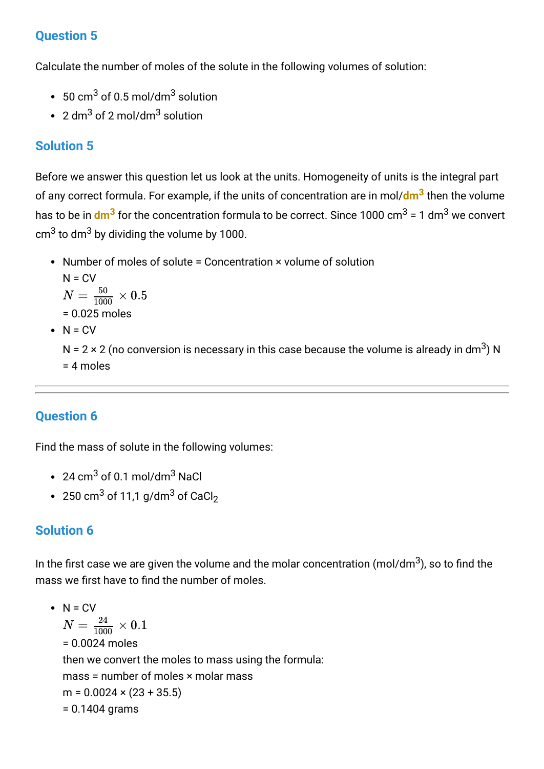### **Question 5**

Calculate the number of moles of the solute in the following volumes of solution:

- 50 cm $^3$  of 0.5 mol/dm $^3$  solution
- 2 dm $^3$  of 2 mol/dm $^3$  solution

## **Solution 5**

Before we answer this question let us look at the units. Homogeneity of units is the integral part of any correct formula. For example, if the units of concentration are in mol/**dm<sup>3</sup>** then the volume has to be in <mark>dm<sup>3</sup></mark> for the concentration formula to be correct. Since 1000 cm<sup>3</sup> = 1 dm<sup>3</sup> we convert cm $^3$  to dm $^3$  by dividing the volume by 1000.

• Number of moles of solute = Concentration × volume of solution  $N = CV$ = 0.025 moles  $\bullet$  N = CV  $N=\frac{50}{1000}\times 0.5$ 

N = 2 × 2 (no conversion is necessary in this case because the volume is already in dm $^3$ ) N = 4 moles

# **Question 6**

Find the mass of solute in the following volumes:

- 24 cm $^3$  of 0.1 mol/dm $^3$  NaCl
- 250 cm $^3$  of 11,1 g/dm $^3$  of CaCl $_2$

### **Solution 6**

In the first case we are given the volume and the molar concentration (mol/dm $^3$ ), so to find the mass we first have to find the number of moles.

 $\bullet$  N = CV = 0.0024 moles then we convert the moles to mass using the formula: mass = number of moles × molar mass  $m = 0.0024 \times (23 + 35.5)$ = 0.1404 grams  $N=\frac{24}{1000}\times0.1$